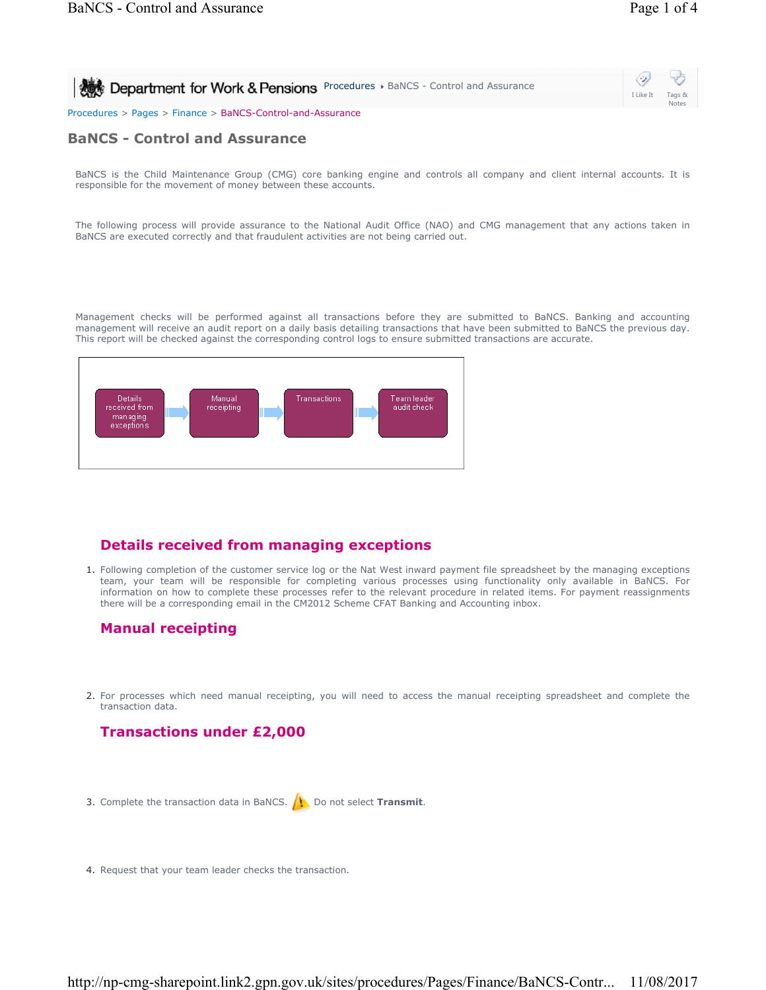| Department for Work & Pensions Procedures & BaNCS - Control and Assurance | $\circ$<br>I Like It | Tags &       |
|---------------------------------------------------------------------------|----------------------|--------------|
|                                                                           |                      | <b>Notes</b> |
| Procedures > Pages > Finance > BaNCS-Control-and-Assurance                |                      |              |

# **BaNCS - Control and Assurance**

BaNCS is the Child Maintenance Group (CMG) core banking engine and controls all company and client internal accounts. It is responsible for the movement of money between these accounts.

The following process will provide assurance to the National Audit Office (NAO) and CMG management that any actions taken in BaNCS are executed correctly and that fraudulent activities are not being carried out.

Management checks will be performed against all transactions before they are submitted to BaNCS. Banking and accounting management will receive an audit report on a daily basis detailing transactions that have been submitted to BaNCS the previous day. This report will be checked against the corresponding control logs to ensure submitted transactions are accurate.



## **Details received from managing exceptions**

1. Following completion of the customer service log or the Nat West inward payment file spreadsheet by the managing exceptions team, your team will be responsible for completing various processes using functionality only available in BaNCS. For information on how to complete these processes refer to the relevant procedure in related items. For payment reassignments there will be a corresponding email in the CM2012 Scheme CFAT Banking and Accounting inbox.

# **Manual receipting**

2. For processes which need manual receipting, you will need to access the manual receipting spreadsheet and complete the transaction data.

# **Transactions under £2,000**

- 3. Complete the transaction data in BaNCS. **1.** Do not select **Transmit**.
- 4. Request that your team leader checks the transaction.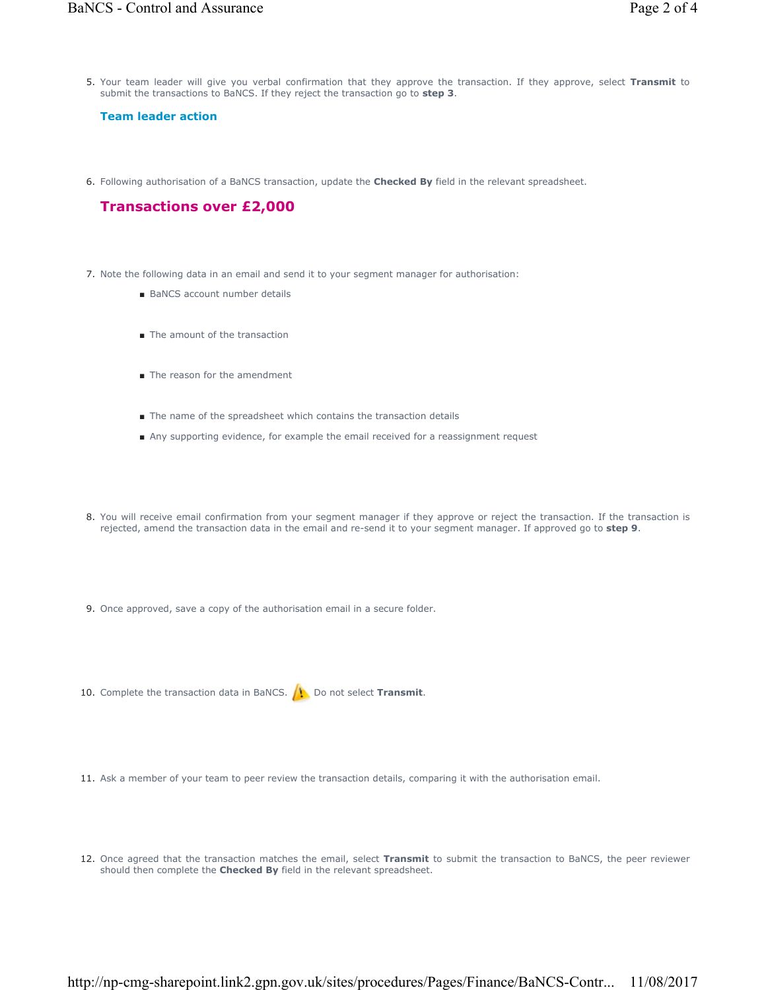5. Your team leader will give you verbal confirmation that they approve the transaction. If they approve, select Transmit to submit the transactions to BaNCS. If they reject the transaction go to **step 3**.

#### **Team leader action**

6. Following authorisation of a BaNCS transaction, update the **Checked By** field in the relevant spreadsheet.

### **Transactions over £2,000**

- 7. Note the following data in an email and send it to your segment manager for authorisation:
	- BaNCS account number details
	- The amount of the transaction
	- The reason for the amendment
	- The name of the spreadsheet which contains the transaction details
	- Any supporting evidence, for example the email received for a reassignment request
- 8. You will receive email confirmation from your segment manager if they approve or reject the transaction. If the transaction is rejected, amend the transaction data in the email and re-send it to your segment manager. If approved go to **step 9**.
- 9. Once approved, save a copy of the authorisation email in a secure folder.
- 10. Complete the transaction data in BaNCS. **(1)** Do not select **Transmit**.
- 11. Ask a member of your team to peer review the transaction details, comparing it with the authorisation email.
- 12. Once agreed that the transaction matches the email, select Transmit to submit the transaction to BaNCS, the peer reviewer should then complete the **Checked By** field in the relevant spreadsheet.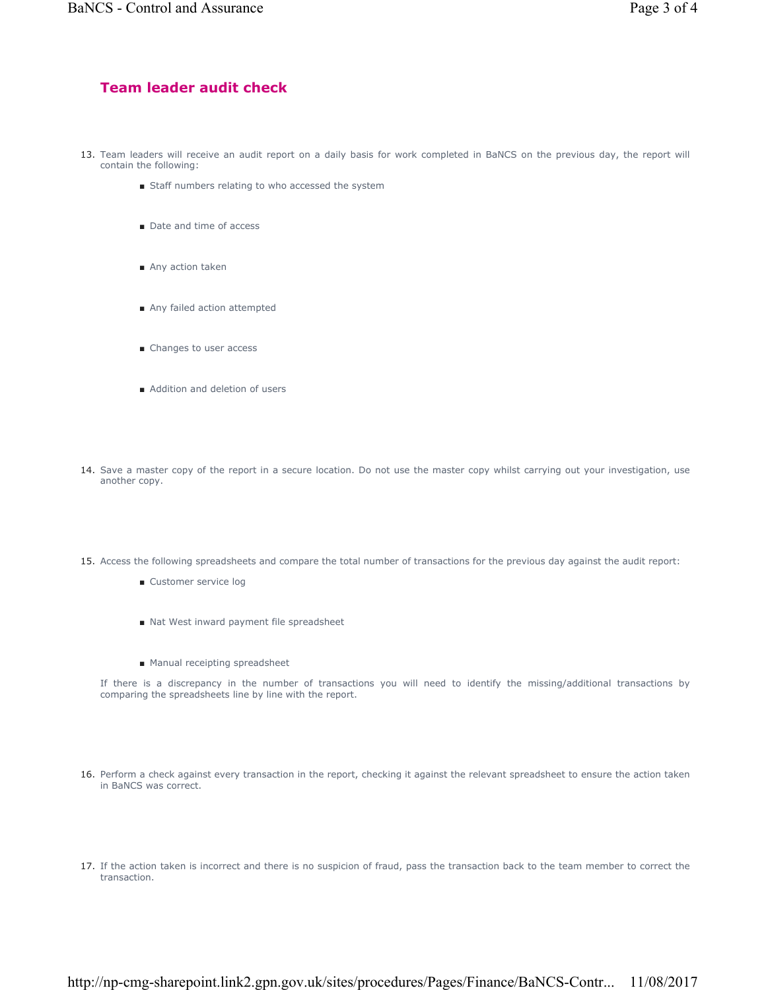## **Team leader audit check**

- 13. Team leaders will receive an audit report on a daily basis for work completed in BaNCS on the previous day, the report will contain the following:
	- Staff numbers relating to who accessed the system
	- Date and time of access
	- Any action taken
	- Any failed action attempted
	- Changes to user access
	- Addition and deletion of users
- 14. Save a master copy of the report in a secure location. Do not use the master copy whilst carrying out your investigation, use another copy.
- 15. Access the following spreadsheets and compare the total number of transactions for the previous day against the audit report:
	- Customer service log
	- Nat West inward payment file spreadsheet
	- Manual receipting spreadsheet

If there is a discrepancy in the number of transactions you will need to identify the missing/additional transactions by comparing the spreadsheets line by line with the report.

- 16. Perform a check against every transaction in the report, checking it against the relevant spreadsheet to ensure the action taken in BaNCS was correct.
- If the action taken is incorrect and there is no suspicion of fraud, pass the transaction back to the team member to correct the 17. transaction.